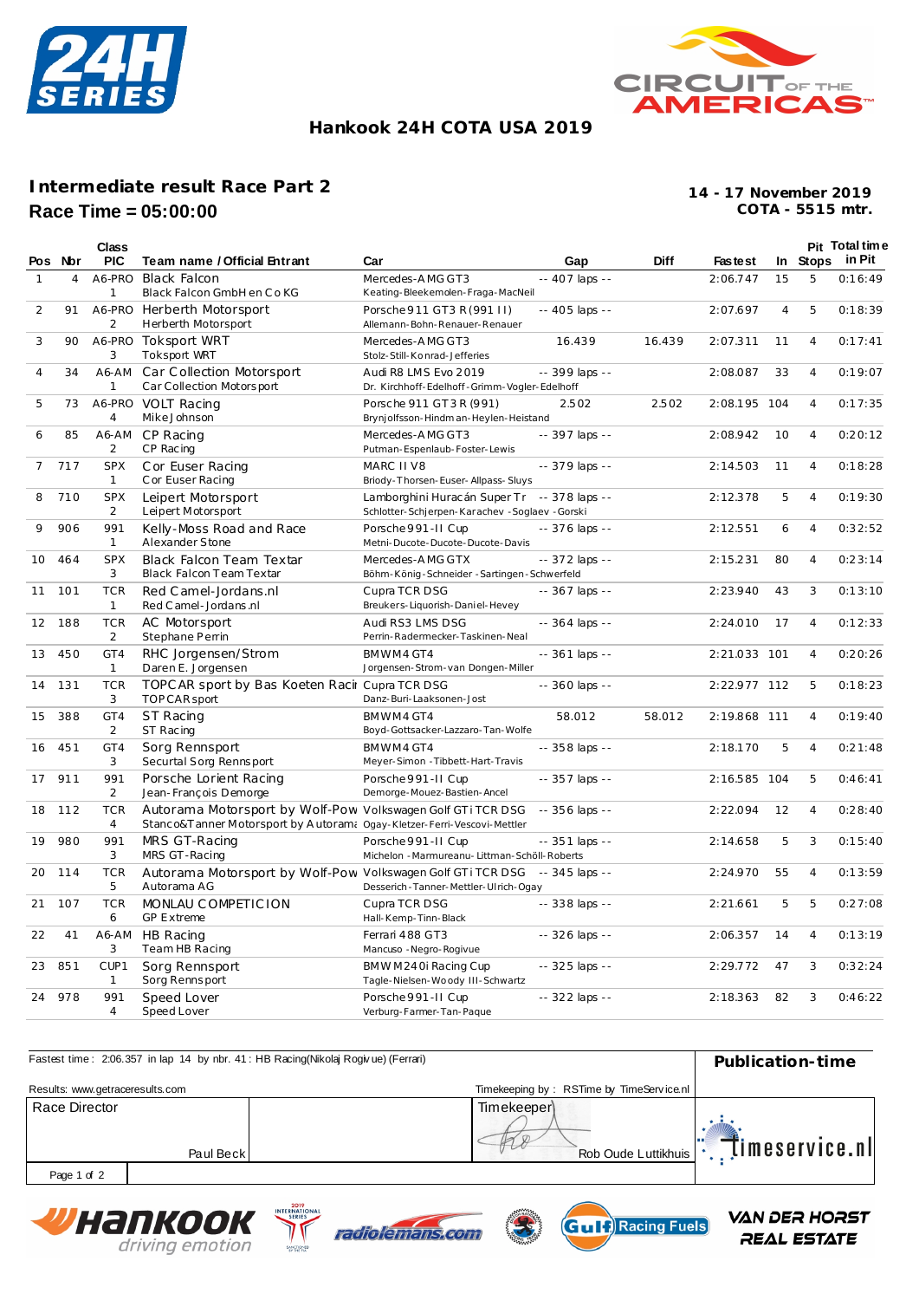



## **Hankook 24H COTA USA 2019**

## **Intermediate result Race Part 2 Race Time = 05:00:00**

**COTA - 5515 mtr. 14 - 17 November 2019**

|                |         | Class                        |                                                                                                                                         |                                                                                                |                 |             |                |                |                | Pit Total time  |
|----------------|---------|------------------------------|-----------------------------------------------------------------------------------------------------------------------------------------|------------------------------------------------------------------------------------------------|-----------------|-------------|----------------|----------------|----------------|-----------------|
|                | Pos Nor | <b>PIC</b>                   | Team name / Official Entrant                                                                                                            | Car                                                                                            | Gap             | <b>Diff</b> | <b>Fastest</b> |                |                | In Stops in Pit |
| 1              | 4       | A6-PRO<br>1                  | Black Falcon<br>Black Falcon GmbH en Co KG                                                                                              | Mercedes-AMG GT3<br>Keating-Bleekemolen-Fraga-MacNeil                                          | -- 407 laps --  |             | 2:06.747       | 15             | 5              | 0:16:49         |
| 2              | 91      | A6-PRO<br>2                  | Herberth Motorsport<br>Herberth Motorsport                                                                                              | Porsche 911 GT3 R (991 II)<br>Allemann-Bohn-Renauer-Renauer                                    | -- 405 laps --  |             | 2:07.697       | $\overline{4}$ | 5              | 0:18:39         |
| 3              | 90      | A6-PRO<br>3                  | Toksport WRT<br><b>Toksport WRT</b>                                                                                                     | Mercedes-AMG GT3<br>Stolz-Still-Konrad-Jefferies                                               | 16.439          | 16.439      | 2:07.311       | 11             | 4              | 0:17:41         |
| $\overline{4}$ | 34      | A6-AM<br>1                   | Car Collection Motorsport<br>Car Collection Motorsport                                                                                  | Audi R8 LMS Evo 2019<br>Dr. Kirchhoff-Edelhoff-Grimm-Vogler-Edelhoff                           | -- 399 laps --  |             | 2:08.087       | 33             | 4              | 0:19:07         |
| 5              | 73      | A6-PRO<br>$\overline{4}$     | VOLT Racing<br>Mike Johnson                                                                                                             | Porsche 911 GT3 R (991)<br>Brynjolfsson-Hindman-Heylen-Heistand                                | 2.502           | 2.502       | 2:08.195       | 104            | 4              | 0:17:35         |
| 6              | 85      | A6-AM<br>2                   | CP Racing<br>CP Racing                                                                                                                  | Mercedes-AMG GT3<br>Putman-Espenlaub-Foster-Lewis                                              | -- 397 laps --  |             | 2:08.942       | 10             | $\overline{4}$ | 0:20:12         |
| 7              | 717     | <b>SPX</b><br>1              | Cor Euser Racing<br>C or Euser Racing                                                                                                   | MARC II V8<br>Briody-Thorsen-Euser-Allpass-Sluys                                               | -- 379 laps --  |             | 2:14.503       | 11             | 4              | 0:18:28         |
| 8              | 710     | <b>SPX</b><br>$\overline{2}$ | Leipert Motorsport<br>Leipert Motorsport                                                                                                | Lamborghini Huracán Super Tr -- 378 laps --<br>Schlotter-Schjerpen-Karachev - Soglaev - Gorski |                 |             | 2:12.378       | 5              | $\overline{4}$ | 0:19:30         |
| 9              | 906     | 991<br>$\mathbf{1}$          | Kelly-Moss Road and Race<br>Alexander Stone                                                                                             | Porsche 991-II Cup<br>Metni-Ducote-Ducote-Ducote-Davis                                         | -- 376 laps --  |             | 2:12.551       | 6              | $\overline{4}$ | 0:32:52         |
| 10             | 464     | <b>SPX</b><br>3              | Black Falcon Team Textar<br>Black Falcon Team Textar                                                                                    | Mercedes-AMG GTX<br>Böhm-König-Schneider-Sartingen-Schwerfeld                                  | -- 372 laps --  |             | 2:15.231       | 80             | $\overline{4}$ | 0:23:14         |
| 11             | 101     | <b>TCR</b><br>1              | Red Camel-Jordans.nl<br>Red C amel - Jordans .nl                                                                                        | Cupra TCR DSG<br>Breukers-Liquorish-Daniel-Hevey                                               | -- 367 laps --  |             | 2:23.940       | 43             | 3              | 0:13:10         |
| 12             | 188     | <b>TCR</b><br>2              | AC Motorsport<br>Stephane Perrin                                                                                                        | Audi RS3 LMS DSG<br>Perrin-Radermecker-Taskinen-Neal                                           | -- 364 laps --  |             | 2:24.010       | 17             | 4              | 0:12:33         |
| 13             | 450     | GT4<br>$\mathbf{1}$          | RHC Jorgensen/Strom<br>Daren E. Jorgensen                                                                                               | BMWM4 GT4<br>Jorgensen-Strom-van Dongen-Miller                                                 | -- 361 laps --  |             | 2:21.033 101   |                | 4              | 0:20:26         |
| 14             | 131     | <b>TCR</b><br>3              | TOPC AR sport by Bas Koeten Racir Cupra TCR DSG<br>TOP CAR sport                                                                        | Danz-Buri-Laaksonen-Jost                                                                       | -- 360 laps --  |             | 2:22.977 112   |                | 5              | 0:18:23         |
| 15             | 388     | GT4<br>$\overline{2}$        | ST Racing<br>ST Racing                                                                                                                  | BMWM4GT4<br>Boyd-Gottsacker-Lazzaro-Tan-Wolfe                                                  | 58.012          | 58.012      | 2:19.868 111   |                | 4              | 0:19:40         |
| 16             | 451     | GT4<br>3                     | Sorg Rennsport<br>Securtal Sorg Rennsport                                                                                               | BMWM4 GT4<br>Meyer-Simon - Tibbett-Hart-Travis                                                 | -- 358 laps --  |             | 2:18.170       | 5              | 4              | 0:21:48         |
| 17             | 911     | 991<br>2                     | Porsche Lorient Racing<br>Jean-François Demorge                                                                                         | Porsche 991-II Cup<br>Demorge-Mouez-Bastien-Ancel                                              | -- 357 laps --  |             | 2:16.585       | 104            | 5              | 0:46:41         |
| 18             | 112     | <b>TCR</b><br>$\overline{4}$ | Autorama Motorsport by Wolf-Pow Volkswagen Golf GTi TCR DSG<br>Stanco&T anner Motorsport by Autoram: Ogay-Kletzer-Ferri-Vescovi-Mettler |                                                                                                | -- 356 laps --  |             | 2:22.094       | 12             | 4              | 0:28:40         |
| 19             | 980     | 991<br>3                     | MRS GT-Racing<br>MRS GT-Racing                                                                                                          | Porsche 991-II Cup<br>Michelon - Marmureanu- Littman-Schöll-Roberts                            | $-351$ laps $-$ |             | 2:14.658       | 5              | 3              | 0:15:40         |
| 20             | 114     | <b>TCR</b><br>5              | Autorama Motorsport by Wolf-Pow Volkswagen Golf GTi TCR DSG<br>Autorama AG                                                              | Desserich-Tanner-Mettler-Ulrich-Ogay                                                           | -- 345 laps --  |             | 2:24.970       | 55             | 4              | 0:13:59         |
| 21             | 107     | <b>TCR</b><br>6              | MONLAU COMPETICION<br><b>GP Extreme</b>                                                                                                 | Cupra TCR DSG<br>Hall-Kemp-Tinn-Black                                                          | -- 338 laps --  |             | 2:21.661       | 5              | 5              | 0:27:08         |
| 22             | 41      | A6-AM<br>3                   | HB Racing<br>Team HB Racing                                                                                                             | Ferrari 488 GT3<br>Mancuso - Negro-Rogivue                                                     | -- 326 laps --  |             | 2:06.357       | 14             | 4              | 0:13:19         |
| 23             | 851     | CUP1<br>1                    | Sorg Rennsport<br>Sorg Rennsport                                                                                                        | BMWM240i Racing Cup<br>Tagle-Nielsen-Woody III-Schwartz                                        | -- 325 laps --  |             | 2:29.772       | 47             | 3              | 0:32:24         |
| 24             | 978     | 991<br>4                     | Speed Lover<br>Speed Lover                                                                                                              | Porsche 991-II Cup<br>Verburg-Farmer-Tan-Paque                                                 | -- 322 laps --  |             | 2:18.363       | 82             | 3              | 0:46:22         |

| Fastest time: 2:06.357 in lap 14 by nbr. 41: HB Racing(Nikolaj Rogivue) (Ferrari) | Publication-time |                                          |                                        |
|-----------------------------------------------------------------------------------|------------------|------------------------------------------|----------------------------------------|
| Results: www.getraceresults.com                                                   |                  | Timekeeping by: RSTime by TimeService.nl |                                        |
| Race Director                                                                     | Paul Beck        | Timekeeperl                              | Timeservice.nl <br>Rob Oude Luttikhuis |
| Page 1 of 2                                                                       |                  |                                          |                                        |

**V**напкоок driving emotion





**VAN DER HORST** REAL ESTATE